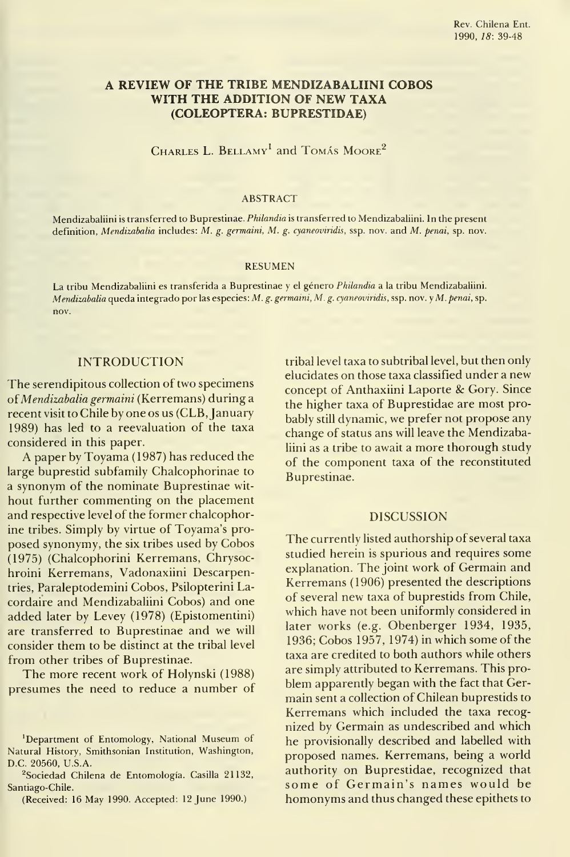# A REVIEW OF THE TRIBE MENDIZABALIINI COBOS WITH THE ADDITION OF NEW TAXA (COLEÓPTERA: BUPRESTIDAE)

CHARLES L. BELLAMY<sup>1</sup> and TOMÁS MOORE<sup>2</sup>

#### ABSTRACT

Mendizabaliini is transferred to Buprestinae. *Philandia* is transferred to Mendizabaliini. In the present definition, Mendizabalia includes: M. g. germaini, M. g. cyaneoviridis, ssp. nov. and M. penai, sp. nov.

#### RESUMEN

La tribu Mendizabaliini es transferida <sup>a</sup> Buprestinae <sup>y</sup> el género Phüandia <sup>a</sup> la tribu Mendizabaliini. Mendizabalia queda integrado por las especies: M. g. germaini, M. g. cyaneoviridis, ssp. nov. y M. penai, sp. nov.

### INTRODUCTION

The serendipitous collection of two specimens of Mendizabalia germaini (Kerremans) during a recent visit to Chile by one os us (CLB, January 1989) has led to a reevaluation of the taxa considered in this paper.

A paper by Toyama (1987) has reduced the large buprestid subfamily Chalcophorinae to a synonym of the nominate Buprestinae wit hout further commenting on the placement and respective level of the former chalcophorine tribes. Simply by virtue of Toyama's proposed synonymy, the six tribes used by Cobos (1975) (Chalcophorini Kerremans, Chrysochroini Kerremans, Vadonaxiini Descarpentries, Paraleptodemini Cobos, Psilopterini Lacordaire and Mendizabaliini Cobos) and one added later by Levey (1978) (Epistomentini) are transferred to Buprestinae and we will consider them to be distinct at the tribal level from other tribes of Buprestinae.

The more recent work of Holynski (1988) presumes the need to reduce a number of tribal level taxa to subtribal level, but then only elucidates on those taxa classified under a new concept of Anthaxiini Laporte & Gory. Since the higher taxa of Buprestidae are most probably still dynamic, we prefer not propose any change of status ans will leave the Mendizabaliini as a tribe to await a more thorough study of the component taxa of the reconstituted Buprestinae.

### DISCUSSION

The currently listed authorship of several taxa studied herein is spurious and requires some explanation. The joint work of Germain and Kerremans (1906) presented the descriptions of several new taxa of buprestids from Chile, which have not been uniformly considered in later works (e.g. Obenberger 1934, 1935, 1936; Cobos 1957, 1974) in which some of the taxa are credited to both authors while others are simply attributed to Kerremans. This problem apparently began with the fact that Germain sent a collection of Chilean buprestids to Kerremans which included the taxa recognized by Germain as undescribed and which he provisionally described and labelled with proposed ñames. Kerremans, being a world authority on Buprestidae, recognized that some of Germain's names would be homonyms and thus changed these epithets to

<sup>&#</sup>x27;Department of Entomology, National Museum of Natural History, Smithsonian Institution, Washington, D.C. 20560, U.S.A.

<sup>&</sup>lt;sup>2</sup>Sociedad Chilena de Entomología. Casilla 21132, Santiago-Chile.

<sup>(</sup>Received: 16 May 1990. Accepted: 12 June 1990.)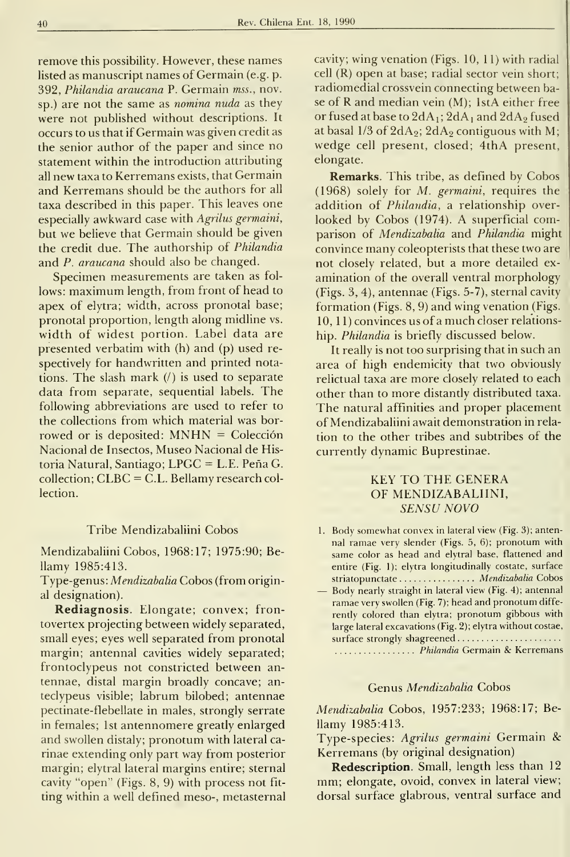remove this possibility. However, these names listed as manuscript names of Germain (e.g. p. 392, Philandia araucana P. Germain mss., nov. sp.) are not the same as *nomina nuda* as they were not published without descriptions. It occurs to us that if Germain was given credit as the senior author of the paper and since no statement within the introduction attributing all new taxa to Kerremans exists, that Germain and Kerremans should be the authors for all taxa described in this paper. This leaves one especially awkward case with Agrilus germaini, but we believe that Germain should be given the credit due. The authorship of Philandia and P. araucana should also be changed.

Specimen measurements are taken as fol lows: maximum length, from front of head to apex of elytra; width, across pronotal base; pronotal proportion, length along midline vs. width of widest portion. Label data are presented verbatim with (h) and (p) used re spectively for handwritten and printed notations. The slash mark  $($ ) is used to separate data from separate, sequential labels. The following abbreviations are used to refer to the collections from which material was borrowed or is deposited: MNHN <sup>=</sup> Colección Nacional de Insectos, Museo Nacional de Historia Natural, Santiago; LPGC = L.E. Peña G. collection; CLBC = C.L. Bellamy research col lection.

### Tribe Mendizabaliini Cobos

Mendizabaliini Cobos, 1968:17; 1975:90; Bellamy 1985:413.

Type-genus: Mendizabalia Cobos (from original designation).

Rediagnosis. Elongate; convex; frontovertex projecting between widely separated, small eyes; eyes well separated from pronotal margin; antennal cavities widely separated; frontoclypeus not constricted between an tennae, distal margin broadly concave; anteclypeus visible; labrum bilobed; antennae pectinate-flebellate in males, strongly serrate in females; Ist antennomere greatly enlarged and swollen distaly; pronotum with lateral carinae extending only part way from posterior margin; elytral lateral margins entire; sternal cavity "open" (Figs. 8, 9) with process not fit ting within a well defmed meso-, metasternal cavity; wing venation (Figs. 10, 11) with radial cell (R) open at base; radial sector vein short; radiomedial crossvein connecting between base of R and median vein (M); IstA either free or fused at base to  $2dA_1$ ;  $2dA_1$  and  $2dA_2$  fused at basal  $1/3$  of  $2dA_2$ ;  $2dA_2$  contiguous with M; wedge cell present, closed; 4thA present, elongate.

**Remarks**. This tribe, as defined by Cobos (1968) solely for M. germaini, requires the addition of Philandia, a relationship over looked by Cobos (1974). A superficial comparison of Mendizabalia and Philandia might convince many coleopterists that these two are not closely related, but a more detailed ex amination of the overall ventral morphology (Figs. 3, 4), antennae (Figs. 5-7), sternal cavity formation (Figs. 8, 9) and wing venation (Figs. 10, 11) convinces us of a much closer relationship. Philandia is briefly discussed below.

It really is not too surprising that in such an área of high endemicity that two obviously relictual taxa are more closely related to each other than to more distantly distributed taxa. The natural affinities and proper placement of Mendizabaliini await demonstration in rela tion to the other tribes and subtribes of the currently dynamic Buprestinae.

# KEY TO THE GENERA OF MENDIZABALIINI, SENSU NOVO

- 1. Body somewhat convex in lateral view (Fig. 3); antennal ramae very slender (Figs. 5, 6); pronotum with same color as head and elytral base, flattened and entire (Fig. 1); elytra longitudinally costate, surface striatopunctate ................ *Mendizabalia* Cobos — Body nearly straight in lateral view (Fig. 4); antennal
- ramae very swollen (Fig. 7); head and pronotum diffe rently colored than elytra; pronotum gibbous with large lateral excavations (Fig. 2); elytra without costae, surface strongly shagreened...................... .................. Philandia Germain & Kerremans

### Genus Mendizabalia Cobos

Mendizabalia Cobos, 1957:233; 1968:17; Bellamy 1985:413.

Type-species: Agrilus germaini Germain &: Kerremans (by original designation)

Redescription. Small, length less than 12 mm; elongate, ovoid, convex in lateral view; dorsal surface glabrous, ventral surface and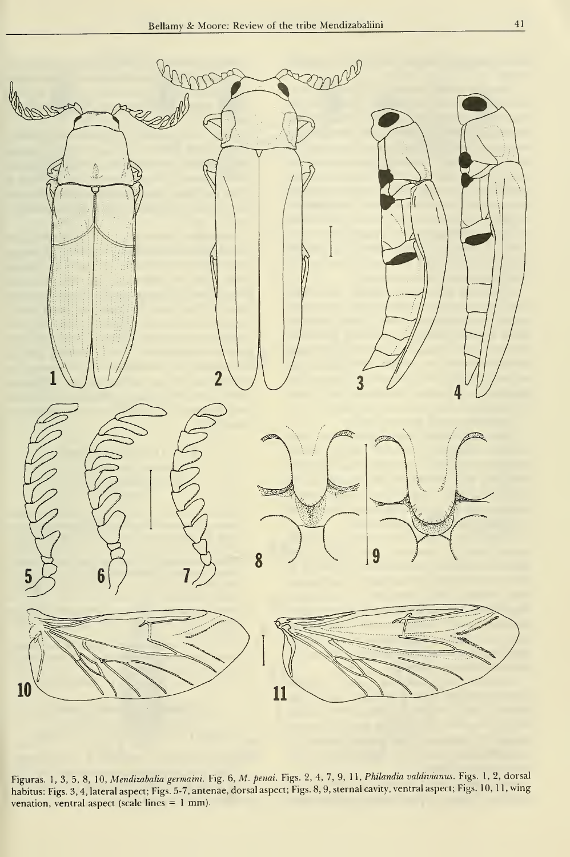

Figuras. 1, 3, 5, 8, 10, Mendimbalia germaini. Fig. 6, M. penai. Figs. 2, 4, 7, 9, 11, Philandia valdwianus. Figs. 1, 2, dorsal habitus: Figs. 3, 4, lateral aspect; Figs. 5-7, antenae, dorsal aspect; Figs. 8, 9, sternal cavity, ventral aspect; Figs. 10, <sup>1</sup> 1, wing venation, ventral aspect (scale lines = <sup>1</sup> mm).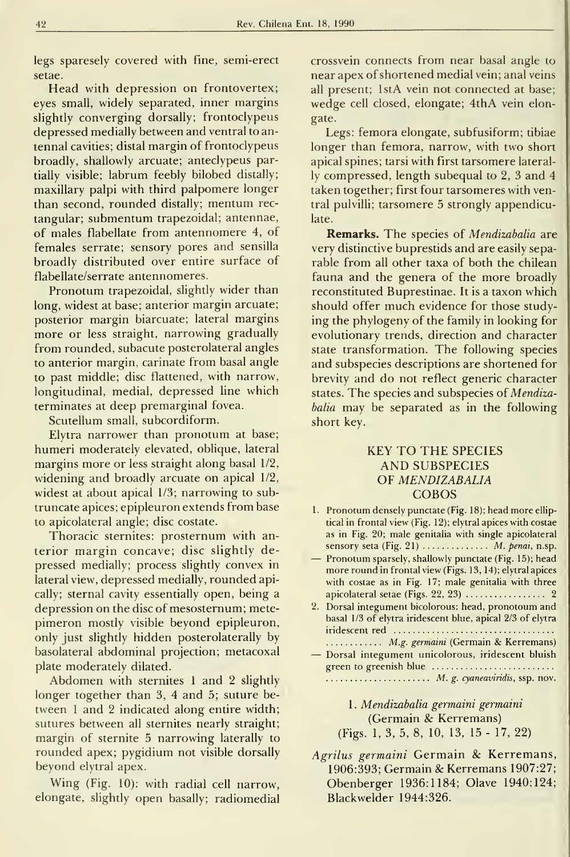legs sparesely covered with fine, semi-erect setae.

Head with depression on frontovertex; eyes small, widely separated, inner margins slightly converging dorsally; frontoclypeus depressed medially between and ventral to an tennal cavities; distal margin of frontoclypeus broadly, shallowly arcuate; anteclypeus partially visible; labrum feebly bilobed distally; maxillary palpi with third palpomere longer than second, rounded distally; mentum rec tangular; submentum trapezoidal; antennae, of males flabellate from antennomere 4, of females serrate; sensory pores and sensilla broadly distributed over entire surface of flabellate/serrate antennomeres.

Pronotum trapezoidal, slightly wider than long, widest at base; anterior margin arcuate; posterior margin biarcuate; lateral margins more or less straight, narrowing gradually from rounded, subacute posterolateral angles to anterior margin, carínate from basal angle to past middle; disc flattened, with narrow, longitudinal, medial, depressed line which terminates at deep premarginal fovea.

Scutellum small, subcordiform.

Elytra narrower than pronotum at base; humeri moderately elevated, oblique, lateral margins more or less straight along basal 1/2, widening and broadly arcuate on apical 1/2, widest at about apical 1/3; narrowing to sub truncate ápices; epipleuron extends from base to apicolateral angle; disc costate.

Thoracic sternites: prosternum with an terior margin concave; disc slightly depressed medially; process slightly convex in lateral view, depressed medially, rounded apically; sternal cavity essentially open, being a depression on the disc of mesosternum; metepimeron mostly visible beyond epipleuron, only just slightly hidden posterolaterally by basolateral abdominal projection; metacoxal plate moderately dilated.

Abdomen with sternites <sup>1</sup> and <sup>2</sup> slightly longer together than 3, 4 and 5; suture between <sup>1</sup> and 2 indicated along entire width; sutures between all sternites nearly straight; margin of sternite 5 narrowing laterally to rounded apex; pygidium not visible dorsally beyond elytral apex.

Wing (Fig. 10): with radial cell narrow, elongate, slighdy open basally; radiomedial

crossvein connects from near basal angle to near apex of shortened medial vein; anal veins all present; IstA vein not connected at base; wedge cell closed, elongate; 4thA vein elongate.

Legs: femora elongate, subfusiform; tibiae longer than femora, narrow, with two short apical spines; tarsi with first tarsomere laterally compressed, length subequal to 2, 3 and 4 taken together; first four tarsomeres with ventral pulvilli; tarsomere 5 strongly appendiculate.

Remarks. The species of Mendizabalia are very distinctive buprestids and are easily separable from all other taxa of both the chilean fauna and the genera of the more broadly reconstituted Buprestinae. It is a taxon which should offer much evidence for those studying the phylogeny of the family in looking for evolutionary trends, direction and character state transformation. The following species and subspecies descriptions are shortened for brevity and do not reflect generic character states. The species and subspecies of Mendizabalia may be separated as in the following short key.

# KEY TO THE SPECIES AND SUBSPECIES OF MENDIZABALIA COBOS

- 1 Pronotum densely punctate (Fig. <sup>1</sup> 8); head more elliptical in frontal view (Fig. 12); elytral apices with costae as in Fig. 20; male genitalia with single apicolateral sensory seta (Fig. 21)  $\ldots$ ........... *M. penai*, n.sp.<br>— Pronotum sparsely, shallowly punctate (Fig. 15); head
- more round in frontal view (Figs. 13, 14); elytral apices with costae as in Fig. 17; male genitalia with three apicolateral setae (Figs. 22, 23) 2
- 2. Dorsal integument bicolorous: head, pronotoum and basal 1/3 of elytra iridescent blue, apical 2/3 of elytra iridescent red .............................
- M.g. germaini (Germain & Kerremans) Dorsal integument unicolorous, iridescent bluish green to greenish blue

..................... M. g. cyaneaviridis, ssp. nov.

<sup>1</sup> . Mendizabalia germaini germaini (Germain & Kerremans) (Figs. 1, 3, 5, 8, 10, 13, 15 - 17, 22)

Agrilus germaini Germain & Kerremans, 1906:393; Germain &:Kerremans 1907:27; Obenberger 1936:1184; Olave 1940:124; Blackwelder 1944:326.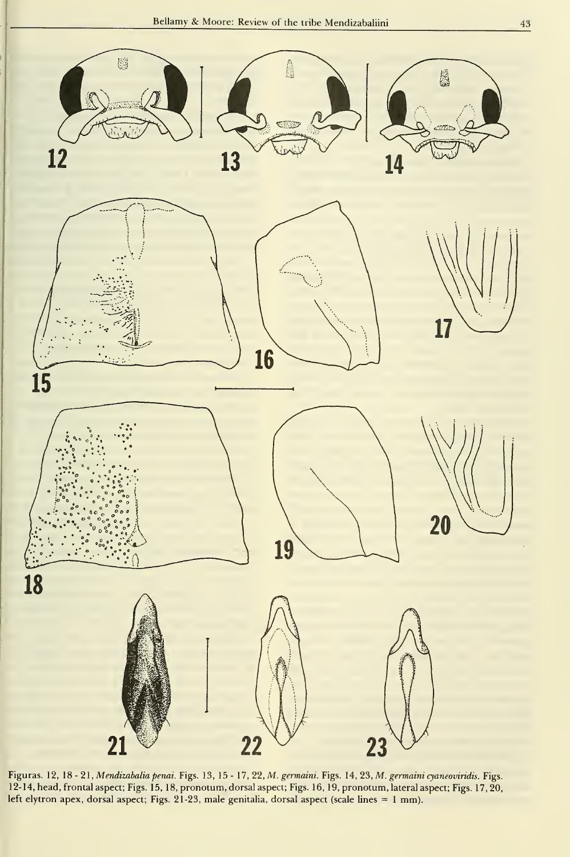

Figuras. 12, 18 - 21, Mendizabalia penai. Figs. 13, 15 - 17, 22, M. germaini. Figs. 14, 23, M. germaini cyaneoviridis. Figs. 12-14, head, frontal aspect; Figs. 15, 18, pronotum, dorsal aspect; Figs. 16, 19, pronotum, lateral aspect; Figs. 17,20, left elytron apex, dorsal aspect; Figs. 21-23, male genitalia, dorsal aspect (scale lines = 1 mm).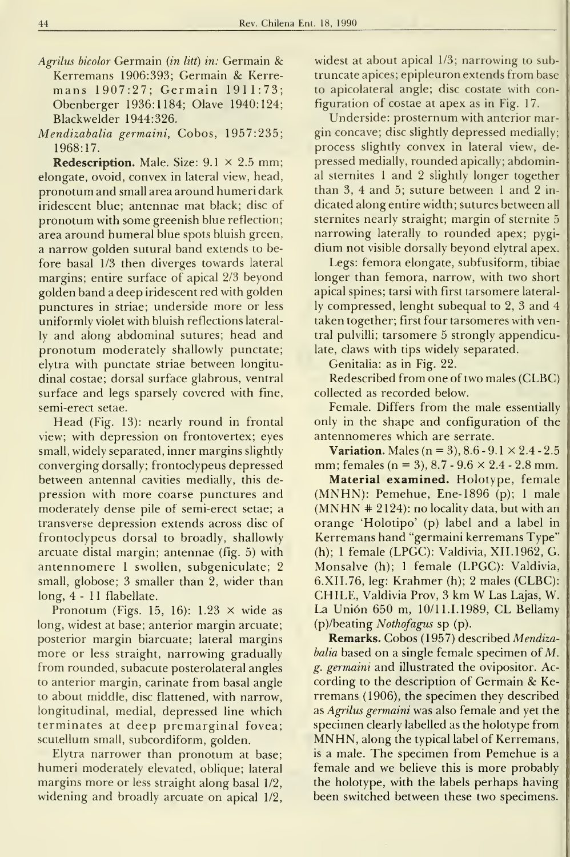- Agrilus bicolor Germain (in litt) in: Germain & Kerremans 1906:393: Germain & Kerremans 1907:27; Germain 1911:73; Obenberger 1936:1184; Olave 1940:124; Blackwelder 1944:326.
- Mendizabalia germaini, Cobos, 1957:235; 1968:17.

**Redescription.** Male. Size:  $9.1 \times 2.5$  mm; elongate, ovoid, convex in lateral view, head, pronotum and small área around humeri dark iridescent blue; antennae mat black; disc of pronotum with some greenish blue reflection; área around humeral blue spots bluish green, a narrow golden sutural band extends to before basal 1/3 then diverges towards lateral margins; entire surface of apical 2/3 beyond golden band a deep iridescent red with golden punctures in striae; underside more or less uniformly violet with bluish reflections laterally and along abdominal sutures; head and pronotum moderately shallowly punctate; elytra with punctate striae between longitudinal costae; dorsal surface glabrous, ventral surface and legs sparsely covered with fine, semi-erect setae.

Head (Fig. 13): nearly round in frontal view; with depression on frontovertex; eyes small, widely separated, inner margins slightly converging dorsally; frontoclypeus depressed between antennal cavities medially, this depression with more coarse punctures and moderately dense pile of semi-erect setae; a transverse depression extends across disc of frontoclypeus dorsal to broadly, shallowly arcuate distal margin; antennae (fig. 5) with antennomere <sup>1</sup> swollen, subgeniculate; 2 small, globose; 3 smaller than 2, wider than long, 4-11 flabellate.

Pronotum (Figs. 15, 16):  $1.23 \times$  wide as long, widest at base; anterior margin arcuate; posterior margin biarcuate; lateral margins more or less straight, narrowing gradually from rounded, subacute posterolateral angles to anterior margin, carínate from basal angle to about middie, disc flattened, with narrow, longitudinal, medial, depressed line which terminates at deep premarginal fovea; scutellum small, subcordiform, golden.

Elytra narrower than pronotum at base; humeri moderately elevated, oblique; lateral margins more or less straight along basal 1/2, widening and broadly arcuate on apical 1/2,

widest at about apical 1/3; narrowing to sub truncate ápices; epipleuron extends from base to apicolateral angle; disc costate with configuration of costae at apex as in Fig. 17.

Underside: prosternum with anterior margin concave; disc slightly depressed medially; process slightly convex in lateral view, depressed medially, rounded apically; abdominal sternites <sup>1</sup> and 2 slightly longer together than 3, 4 and 5; suture between <sup>1</sup> and 2 in dicated along entire width; sutures between all sternites nearly straight; margin of sternite 5 narrowing laterally to rounded apex; pygidium not visible dorsally beyond elytral apex.

Legs: femora elongate, subfusiform, tibiae longer than femora, narrow, with two short apical spines; tarsi with first tarsomere laterally compressed, lenght subequal to 2, 3 and 4 taken together; first four tarsomeres with ventral pulvilli; tarsomere 5 strongly appendiculate, claws with tips widely separated.

Genitalia: as in Fig. 22.

Redescribed from one of two males (CLBC) collected as recorded below.

Female. Differs from the male essentially only in the shape and configuration of the antennomeres which are serrate.

**Variation.** Males ( $n = 3$ ),  $8.6 - 9.1 \times 2.4 - 2.5$ mm; females (n = 3),  $8.7 - 9.6 \times 2.4 - 2.8$  mm.

Material examined. Holotype, female (MNHN): Pemehue, Ene-1896 (p); <sup>1</sup> male  $(MNHN + 2124)$ : no locality data, but with an orange 'Holotipo' (p) label and a label in Kerremans hand "germaini kerremans Type" (h); <sup>1</sup> female (LPGC): Valdivia, XII. 1962, G. Monsalve (h); <sup>1</sup> female (LPGC): Valdivia, 6.XII.76, leg: Krahmer (h); 2 males (CLBC): CHILE, Valdivia Prov, <sup>3</sup> km W Las Lajas, W. La Unión 650 m, 10/11.1.1989, CL Bellamy (p)/beating Nothofagus sp (p).

Remarks. Cobos (1957) described Mendizabalia based on a single female specimen of M. g. germaini and illustrated the ovipositor. According to the description of Germain & Kerremans (1906), the specimen they described as Agrilus germaini was also female and yet the specimen clearly labelled as the holotype from MNHN, along the typical label of Kerremans, is <sup>a</sup> male. The specimen from Pemehue is a female and we believe this is more probably the holotype, with the labels perhaps having been switched between these two specimens.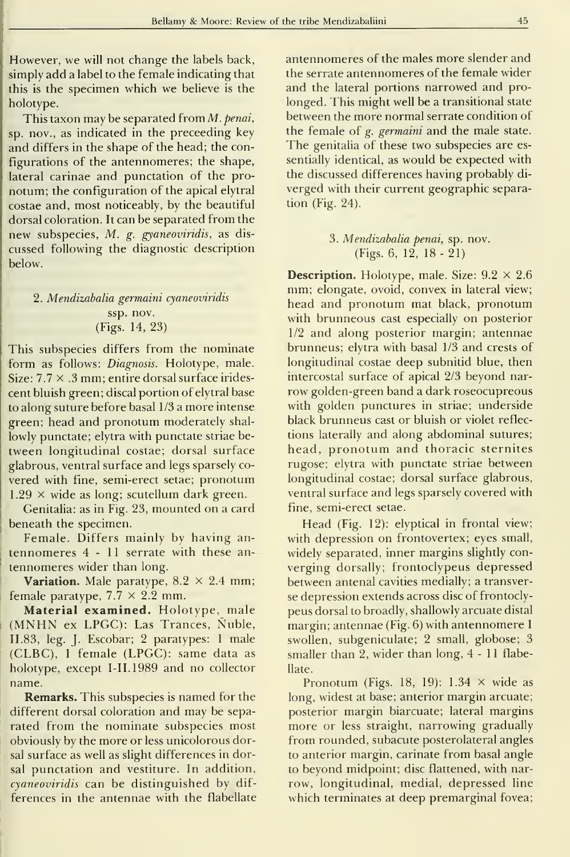However, we will not change the labels back, simply add a label to the female indicating that this is the specimen which we believe is the holotype.

This taxon may be separated from  $M$ . penai, sp. nov., as indicated in the preceeding key and differs in the shape of the head; the configurations of the antennomeres; the shape, lateral carinae and punctation of the pronotum; the configuration of the apical elytral costae and, most noticeably, by the beautiful dorsal coloration. It can be separated from the new subspecies, M. g. gyaneoviridis, as discussed following the diagnostic description below,

# 2. Mendizabalia germaini cyaneoviridis ssp. nov. (Figs. 14, 23)

This subspecies differs from the nominate form as follows: *Diagnosis*. Holotype, male. Size:  $7.7 \times .3$  mm; entire dorsal surface iridescent bluish green; discal portion of elytral base to along suture before basal 1/3 a more intense green; head and pronotum moderately shal lowly punctate; elytra with punctate striae between longitudinal costae; dorsal surface glabrous, ventral surface and legs sparsely co vered with fine, semi-erect setae; pronotum  $1.29 \times$  wide as long; scutellum dark green.

Genitalia: as in Fig. 23, mounted on a card beneath the specimen.

Female. Differs mainly by having an tennomeres 4-11 serrate with these an tennomeres wider than long.

**Variation.** Male paratype,  $8.2 \times 2.4$  mm; female paratype,  $7.7 \times 2.2$  mm.

Material examined. Holotype, male (MNHN ex LPGC): Las Trances, Nuble, 11.83, leg. J. Escobar; <sup>2</sup> paratypes: <sup>1</sup>male (CLBC), <sup>1</sup> female (LPGC): same data as holotype, except I-IL1989 and no collector name.

**Remarks.** This subspecies is named for the different dorsal coloration and may be sepa rated from the nominate subspecies most obviously by the more or less unicolorous dorsal surface as well as slight differences in dorsal punctation and vestiture. In addition, cyaneoviridis can be distinguished by differences in the antennae with the flabellate antennomeres of the males more slender and the serrate antennomeres of the female wider and the lateral portions narrowed and pro longed. This might well be a transitional state between the more normal serrate condition of the female of g. germaini and the male state. The genitalia of these two subspecies are es sentially identical, as would be expected with the discussed differences having probably di verged with their current geographic separation (Fig. 24).

> 3. Mendizabalia penai, sp. nov. (Figs. 6, 12, 18-21)

**Description.** Holotype, male. Size:  $9.2 \times 2.6$ mm; elongate, ovoid, convex in lateral view; head and pronotum mat black, pronotum with brunneous cast especially on posterior 1/2 and along posterior margin; antennae brunneus; elytra with basal 1/3 and crests of longitudinal costae deep subnitid blue, then intercostal surface of apical 2/3 beyond nar row golden-green band a dark roseocupreous with golden punctures in striae; underside black brunneus cast or bluish or violet reflec tions laterally and along abdominal sutures; head, pronotum and thoracic sternites rugóse; elytra with punctate striae between longitudinal costae; dorsal surface glabrous, ventral surface and legs sparsely covered with fine, semi-erect setae.

Head (Fig. 12): elyptical in frontal view; with depression on frontovertex; eyes small, widely separated, inner margins slightly con verging dorsally; frontoclypeus depressed between antenal cavities medially; a transverse depression extends across disc of frontoclypeus dorsal to broadly, shallowly arcuate distal margin; antennae (Fig. 6) with antennomere <sup>1</sup> swollen, subgeniculate; 2 small, globose; 3 smaller than 2, wider than long, 4-11 flabellate.

Pronotum (Figs. 18, 19):  $1.34 \times$  wide as long, widest at base; anterior margin arcuate; posterior margin biarcuate; lateral margins more or less straight, narrowing gradually from rounded, subacute posterolateral angles to anterior margin, carínate from basal angle to beyond midpoint; disc flattened, with nar row, longitudinal, medial, depressed line which terminates at deep premarginal fovea;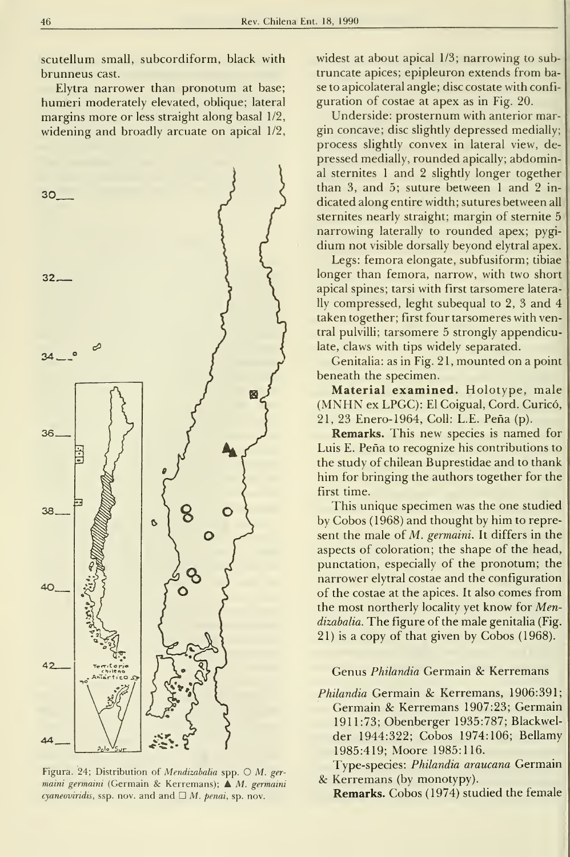scutellum small, subcordiform, black with brunneus cast.

Elytra narrower than pronotum at base; humeri moderately elevated, oblique; lateral margins more or less straight along basal 1/2, widening and broadly arcuate on apical 1/2,

![](_page_7_Figure_3.jpeg)

Figura. 24; Distribution of Mendizabalia spp. O M. ger maini germaini (Germain & Kerremans);  $\triangle M$ . germaini cyaneoviridis, ssp. nov. and and  $\Box$  M. penai, sp. nov.

widest at about apical 1/3; narrowing to sub truncate ápices; epipleuron extends from base to apicolateral angle; disc costate with configuration of costae at apex as in Fig. 20.

Underside: prosternum with anterior margin concave; disc slightly depressed medially; process slightly convex in lateral view, depressed medially, rounded apically; abdominal sternites <sup>1</sup> and 2 slightly longer together than 3, and 5; suture between <sup>1</sup> and 2 in dicated along entire width; sutures between all sternites nearly straight; margin of sternite 5 narrowing laterally to rounded apex; pygidium not visible dorsally beyond elytral apex.

Legs: femora elongate, subfusiform; tibiae longer than femora, narrow, with two short apical spines; tarsi with first tarsomere laterally compressed, leght subequal to 2, 3 and 4 taken together; first four tarsomeres with ventral pulvilli; tarsomere 5 strongly appendiculate, claws with tips widely separated.

Genitalia: as in Fig. 21, mounted on a point beneath the specimen.

Material examined. Holotype, male (MNHN ex LPGC): El Coigual, Cord. Curicó, 21, 23 Enero-1964, Coll: L.E. Peña (p).

Remarks. This new species is named for Luis E. Peña to recognize his contributions to the study of chilean Buprestidae and to thank him for bringing the authors together for the first time.

This unique specimen was the one studied by Cobos (1968) and thought by him to represent the male of M. germaini. It differs in the aspects of coloration; the shape of the head, punctation, especially of the pronotum; the narrower elytral costae and the configuration of the costae at the apices. It also comes from the most northerly locality yet know for Mendizabalia. The figure of the male genitalia (Fig. 21) is a copy of that given by Cobos (1968).

### Genus Philandia Germain & Kerremans

Philandia Germain & Kerremans, 1906:391; Germain & Kerremans 1907:23; Germain 1911:73; Obenberger 1935:787; Blackwelder 1944:322; Cobos 1974:106; Bellamy 1985:419; Moore 1985:116.

Type-species: Philandia araucana Germain & Kerremans (by monotypy).

Remarks. Cobos (1974) studied the female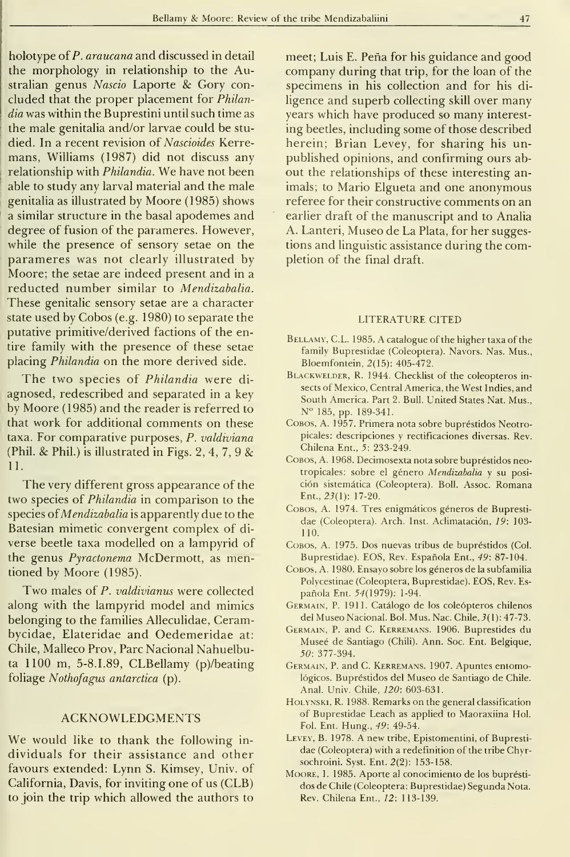holotype of P. araucana and discussed in detail the morphology in relationship to the Australian genus Nascio Laporte & Gory concluded that the proper placement for Philandia was within the Buprestini until such time as the male genitalia and/or larvae could be studied. In a recent revision of Nascioides Kerremans, Williams (1987) did not discuss any relationship with Philandia. We have not been able to study any larval material and the male genitalia as illustrated by Moore (1985) shows a similar structure in the basal apodemes and degree of fusion of the parameres. However, while the presence of sensory setae on the parameres was not clearly illustrated by Moore; the setae are indeed present and in a reducted number similar to Mendizabalia. These genitalic sensory setae are a character state used by Cobos (e.g. 1980) to separate the putative primitive/derived factions of the entire family with the presence of these setae placing Philandia on the more derived side.

The two species of *Philandia* were diagnosed, redescribed and separated in a key by Moore (1985) and the reader is referred to that work for additional comments on these taxa. For comparative purposes, P. valdiviana (Phil. & Phil.) is illustrated in Figs. 2, 4, 7, 9  $\&$ 11.

The very different gross appearance of the two species of Philandia in comparison to the species of *Mendizabalia* is apparently due to the Batesian mimetic convergent complex of di verse beetle taxa modelled on a lampyrid of the genus Pyractonema McDermott, as mentioned by Moore (1985).

Two males of P. valdivianus were collected along with the lampyrid model and mimics belonging to the families AUeculidae, Cerambycidae, Elateridae and Oedemeridae at: Chile, Malleco Prov, Pare Nacional Nahuelbuta 1100 m, 5-8.1.89, CLBellamy (p)/beating foliage Nothofagus antarctica (p).

### ACKNOWLEDGMENTS

We would like to thank the following in dividuals for their assistance and other favours extended: Lynn S. Kimsey, Univ. of California, Davis, for inviting one of us (CLB) to join the trip which allowed the authors to

meet; Luis E. Peña for his guidance and good company during that trip, for the loan of the specimens in his collection and for his diligence and superb collecting skill over many years which have produced so many interest ing beetles, including some of those described herein; Brian Levey, for sharing his unpublished opinions, and confirming ours about the relationships of these interesting animals; to Mario Elgueta and one anonymous referee for their constructive comments on an earlier draft of the manuscript and to Analia A. Lanteri, Museo de La Plata, for her suggestions and linguistic assistance during the completion of the final draft.

#### LITERATURE CITED

- BELLAMY, C.L. 1985. A catalogue of the higher taxa of the family Buprestidae (Coleoptera). Navors. Nas. Mus., Bloemfontein, 2(15): 405-472.
- BLACKWELDER, R. 1944. Checklist of the coleopteros insects of Mexico, Central America, the West Indies, and South America. Part 2. Bull. United States Nat. Mus., N° 185, pp. 189-341.
- Cobos, A. 1957. Primera nota sobre bupréstidos Neotropicales: descripciones y rectificaciones diversas. Rev. Chilena Ent., 5: 233-249.
- Cobos, A. 1968. Decimosexta nota sobre bupréstidos neotropicales: sobre el género Mendizabalia y su posición sistemática (Coleoptera). Boll. Assoc. Romana Ent., 23(1): 17-20.
- Cobos, A. 1974. Tres enigmáticos géneros de Bupresti dae (Coleoptera). Arch. Inst. Aclimatación, 19: 103-110.
- Cobos, A. 1975. Dos nuevas tribus de bupréstidos (Col. Buprestidae). EOS, Rev. Española Ent., 49: 87-104.
- Cobos, A. 1980. Ensayo sobre los géneros de la subfamilia Polycestinae (Coleoptera, Buprestidae). EOS, Rev. Española Ent. 54(1979): 1-94.
- Germain, P. 1911. Catálogo de los coleópteros chilenos del Museo Nacional. Bol. Mus. Nac. Chile, 3(1): 47-73.
- Germain, P. and C. Kerremans. 1906. Buprestides du Museé de Santiago (Chili). Ann. Soc. Ent. Belgique, 50: 377-394.
- Germain, P. and C. Kerremans. 1907. Apuntes entomológicos. Bupréstidos del Museo de Santiago de Chile. Anal. Univ. Chile, 120: 603-631.
- HOLYNSKI, R. 1988. Remarks on the general classification of Buprestidae Leach as applied to Maoraxiina Hol. Fol. Ent. Hung., 49: 49-54.
- Levey, B. 1978. A new tribe, Epistomentini, of Bupresti dae (Coleoptera) with a redefinition of the tribe Chyrsochroini. Syst. Ent. 2(2): 153-158.
- Moore, I. 1985. Aporte al conocimiento de los buprésti dos de Chile (Coleóptera: Buprestidae) Segunda Nota. Rev. Chilena Ent., 12: 113-139.